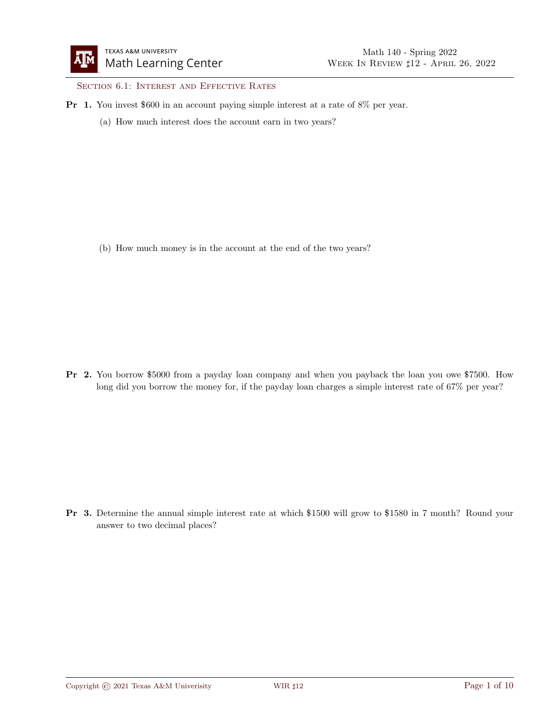SECTION 6.1: INTEREST AND EFFECTIVE RATES

- Pr 1. You invest \$600 in an account paying simple interest at a rate of 8% per year.
	- (a) How much interest does the account earn in two years?

(b) How much money is in the account at the end of the two years?

Pr 2. You borrow \$5000 from a payday loan company and when you payback the loan you owe \$7500. How long did you borrow the money for, if the payday loan charges a simple interest rate of 67% per year?

Pr 3. Determine the annual simple interest rate at which \$1500 will grow to \$1580 in 7 month? Round your answer to two decimal places?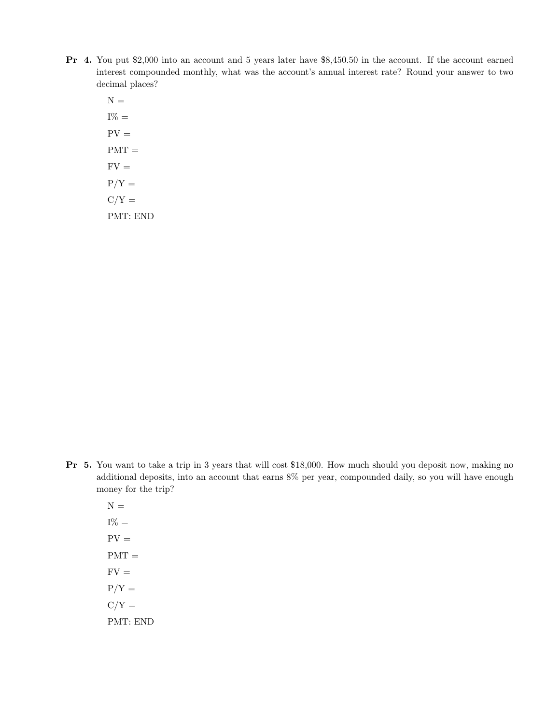- Pr 4. You put \$2,000 into an account and 5 years later have \$8,450.50 in the account. If the account earned interest compounded monthly, what was the account's annual interest rate? Round your answer to two decimal places?
	- ${\cal N}$   $=$  $I\% =$  $PV =$  $PMT =$  $FV =$  $P/Y =$  $C/Y =$ PMT: END

- Pr 5. You want to take a trip in 3 years that will cost \$18,000. How much should you deposit now, making no additional deposits, into an account that earns 8% per year, compounded daily, so you will have enough money for the trip?
	- $N =$  $I\% =$  $PV =$  $PMT =$  $FV =$  $P/Y =$  $C/Y =$ PMT: END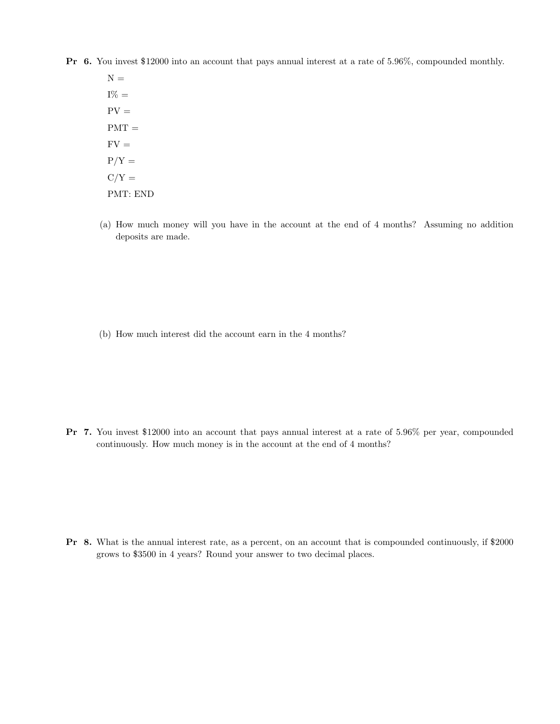Pr 6. You invest \$12000 into an account that pays annual interest at a rate of 5.96%, compounded monthly.

 $N =$  $I\% =$  $PV =$  $PMT =$  $FV =$  $P/Y =$  $C/Y =$ PMT: END

(a) How much money will you have in the account at the end of 4 months? Assuming no addition deposits are made.

(b) How much interest did the account earn in the 4 months?

Pr 7. You invest \$12000 into an account that pays annual interest at a rate of 5.96% per year, compounded continuously. How much money is in the account at the end of 4 months?

Pr 8. What is the annual interest rate, as a percent, on an account that is compounded continuously, if \$2000 grows to \$3500 in 4 years? Round your answer to two decimal places.